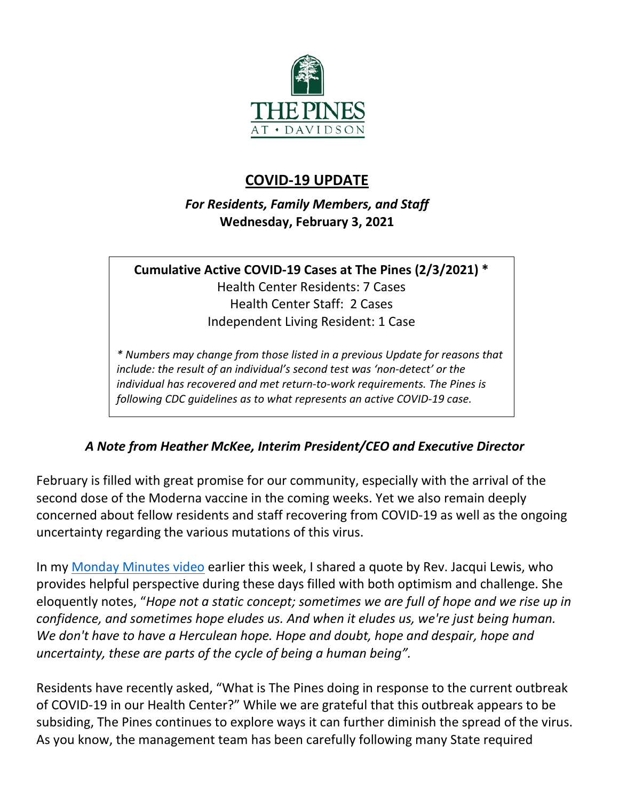

## **COVID-19 UPDATE**

*For Residents, Family Members, and Staff* **Wednesday, February 3, 2021**

**Cumulative Active COVID-19 Cases at The Pines (2/3/2021) \*** Health Center Residents: 7 Cases Health Center Staff: 2 Cases Independent Living Resident: 1 Case

*\* Numbers may change from those listed in a previous Update for reasons that include: the result of an individual's second test was 'non-detect' or the individual has recovered and met return-to-work requirements. The Pines is following CDC guidelines as to what represents an active COVID-19 case.*

## *A Note from Heather McKee, Interim President/CEO and Executive Director*

February is filled with great promise for our community, especially with the arrival of the second dose of the Moderna vaccine in the coming weeks. Yet we also remain deeply concerned about fellow residents and staff recovering from COVID-19 as well as the ongoing uncertainty regarding the various mutations of this virus.

In my [Monday Minutes video](https://youtu.be/Uq1z6J4uHDQ) earlier this week, I shared a quote by Rev. Jacqui Lewis, who provides helpful perspective during these days filled with both optimism and challenge. She eloquently notes, "*Hope not a static concept; sometimes we are full of hope and we rise up in confidence, and sometimes hope eludes us. And when it eludes us, we're just being human. We don't have to have a Herculean hope. Hope and doubt, hope and despair, hope and uncertainty, these are parts of the cycle of being a human being".* 

Residents have recently asked, "What is The Pines doing in response to the current outbreak of COVID-19 in our Health Center?" While we are grateful that this outbreak appears to be subsiding, The Pines continues to explore ways it can further diminish the spread of the virus. As you know, the management team has been carefully following many State required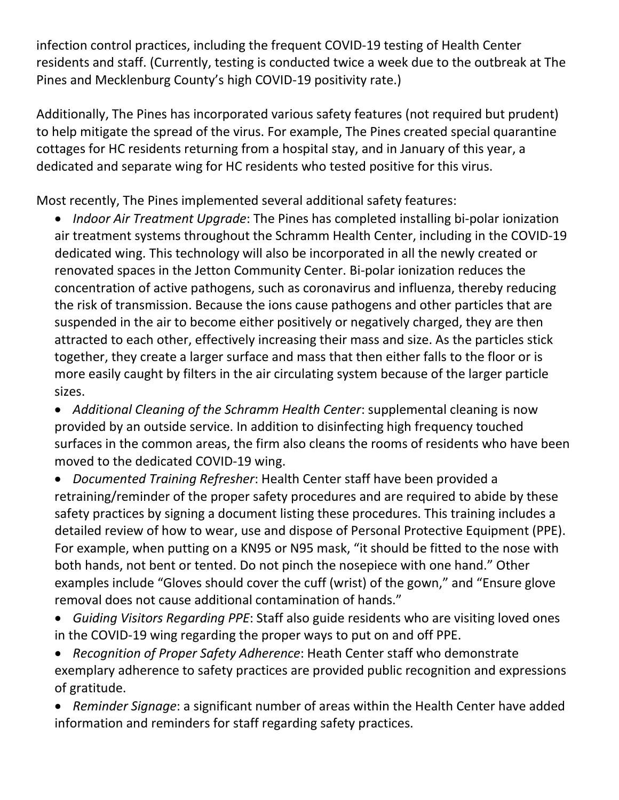infection control practices, including the frequent COVID-19 testing of Health Center residents and staff. (Currently, testing is conducted twice a week due to the outbreak at The Pines and Mecklenburg County's high COVID-19 positivity rate.)

Additionally, The Pines has incorporated various safety features (not required but prudent) to help mitigate the spread of the virus. For example, The Pines created special quarantine cottages for HC residents returning from a hospital stay, and in January of this year, a dedicated and separate wing for HC residents who tested positive for this virus.

Most recently, The Pines implemented several additional safety features:

• *Indoor Air Treatment Upgrade*: The Pines has completed installing bi-polar ionization air treatment systems throughout the Schramm Health Center, including in the COVID-19 dedicated wing. This technology will also be incorporated in all the newly created or renovated spaces in the Jetton Community Center. Bi-polar ionization reduces the concentration of active pathogens, such as coronavirus and influenza, thereby reducing the risk of transmission. Because the ions cause pathogens and other particles that are suspended in the air to become either positively or negatively charged, they are then attracted to each other, effectively increasing their mass and size. As the particles stick together, they create a larger surface and mass that then either falls to the floor or is more easily caught by filters in the air circulating system because of the larger particle sizes.

• *Additional Cleaning of the Schramm Health Center*: supplemental cleaning is now provided by an outside service. In addition to disinfecting high frequency touched surfaces in the common areas, the firm also cleans the rooms of residents who have been moved to the dedicated COVID-19 wing.

- *Documented Training Refresher*: Health Center staff have been provided a retraining/reminder of the proper safety procedures and are required to abide by these safety practices by signing a document listing these procedures. This training includes a detailed review of how to wear, use and dispose of Personal Protective Equipment (PPE). For example, when putting on a KN95 or N95 mask, "it should be fitted to the nose with both hands, not bent or tented. Do not pinch the nosepiece with one hand." Other examples include "Gloves should cover the cuff (wrist) of the gown," and "Ensure glove removal does not cause additional contamination of hands."
- *Guiding Visitors Regarding PPE*: Staff also guide residents who are visiting loved ones in the COVID-19 wing regarding the proper ways to put on and off PPE.
- *Recognition of Proper Safety Adherence*: Heath Center staff who demonstrate exemplary adherence to safety practices are provided public recognition and expressions of gratitude.
- *Reminder Signage*: a significant number of areas within the Health Center have added information and reminders for staff regarding safety practices.